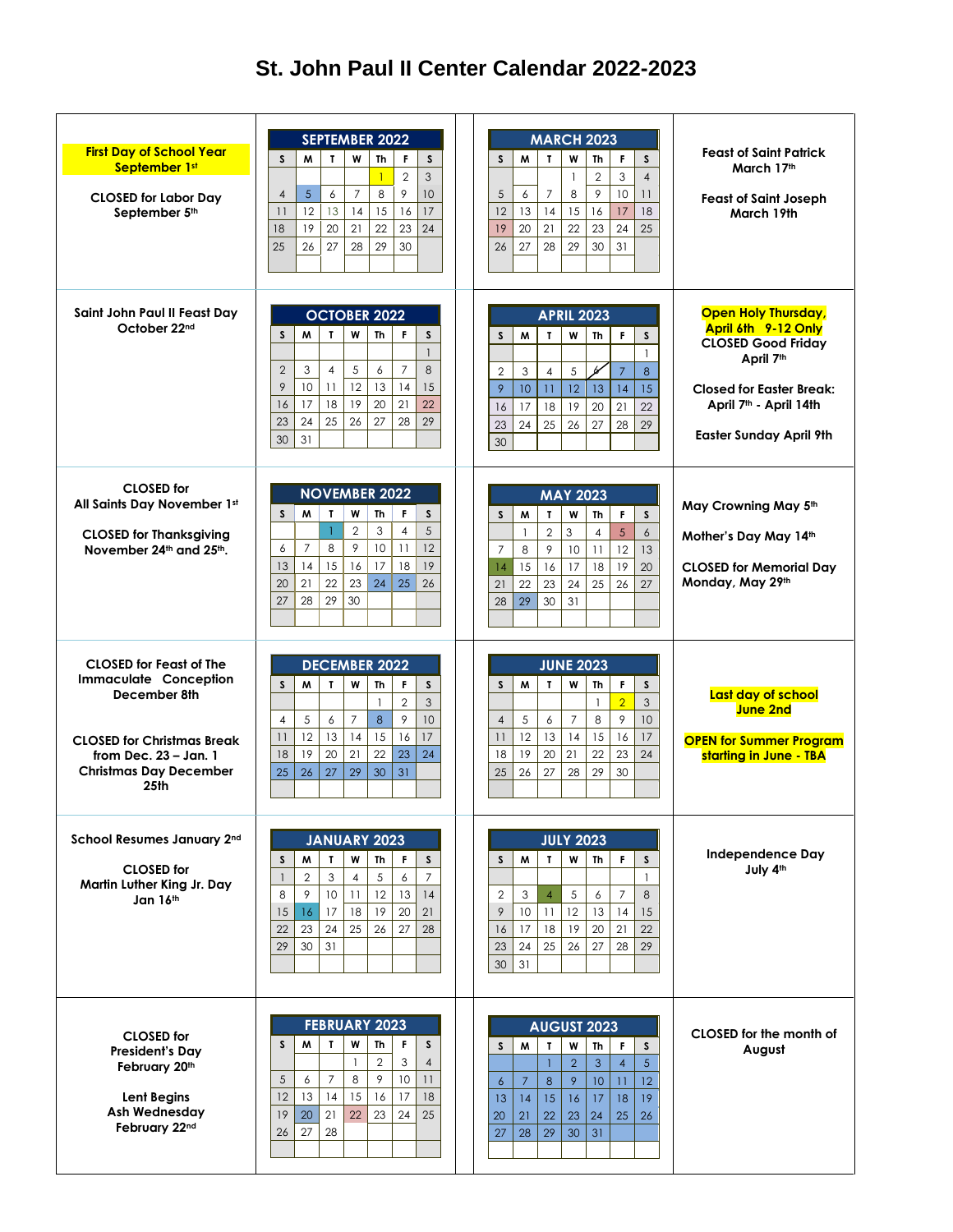## **St. John Paul II Center Calendar 2022-2023**

| <b>First Day of School Year</b><br>September 1st<br><b>CLOSED for Labor Day</b><br>September 5th                                                                                      | <b>SEPTEMBER 2022</b><br>W<br>$\mathsf{s}$<br>S<br>M<br>$\mathbf{L}$<br><b>Th</b><br>F.<br>3<br>$\overline{1}$<br>$\overline{2}$<br>8<br>5<br>9<br>10 <sup>°</sup><br>$\overline{7}$<br>$\overline{4}$<br>6<br>17<br>12<br>15<br>11<br>13<br>14<br>16<br>21<br>22<br>19<br>20<br>23<br>24<br>18<br>25<br>27<br>28<br>29<br>26<br>30 | <b>MARCH 2023</b><br>M<br>F<br>s<br>s<br>$\mathbf{r}$<br>W<br><b>Th</b><br>$\overline{4}$<br>3<br>$\overline{2}$<br>$\mathbf{1}$<br>9<br>10<br>$\overline{7}$<br>8<br>11<br>5<br>6<br>18<br>12<br>13<br>14<br>15<br>17<br>16<br>22<br>23<br>24<br>25<br>19<br>20<br>21<br>29<br>28<br>30<br>26<br>27<br>31               | <b>Feast of Saint Patrick</b><br>March 17th<br><b>Feast of Saint Joseph</b><br>March 19th                                                                                                              |
|---------------------------------------------------------------------------------------------------------------------------------------------------------------------------------------|-------------------------------------------------------------------------------------------------------------------------------------------------------------------------------------------------------------------------------------------------------------------------------------------------------------------------------------|--------------------------------------------------------------------------------------------------------------------------------------------------------------------------------------------------------------------------------------------------------------------------------------------------------------------------|--------------------------------------------------------------------------------------------------------------------------------------------------------------------------------------------------------|
| Saint John Paul II Feast Day<br>October 22nd                                                                                                                                          | <b>OCTOBER 2022</b><br>W<br>S<br>M<br>$\mathbf{r}$<br><b>Th</b><br>F<br>S.<br>$\mathbf{1}$<br>$\overline{7}$<br>8<br>5<br>$\overline{2}$<br>3<br>$\overline{4}$<br>6<br>9<br>10<br>12<br>15<br>11<br>13<br>14<br>18<br>19<br>21<br>16<br>17<br>20<br>22<br>24<br>25<br>26<br>27<br>29<br>23<br>28<br>30<br>31                       | <b>APRIL 2023</b><br>M<br>$\mathbf{r}$<br>W<br><b>Th</b><br>F<br>s<br>S<br>$\mathbf{1}$<br>Ы<br>3<br>5<br>$\overline{7}$<br>8<br>$\overline{2}$<br>$\overline{4}$<br>12<br>15<br>9<br>10<br>11<br>13<br>14<br>18<br>19<br>22<br>17<br>20<br>21<br>16<br>25<br>26<br>27<br>29<br>23<br>24<br>28<br>30                     | <b>Open Holy Thursday,</b><br>April 6th 9-12 Only<br><b>CLOSED Good Friday</b><br>April 7th<br><b>Closed for Easter Break:</b><br>April 7 <sup>th</sup> - April 14th<br><b>Easter Sunday April 9th</b> |
| <b>CLOSED</b> for<br>All Saints Day November 1st<br><b>CLOSED for Thanksgiving</b><br>November 24th and 25th.                                                                         | <b>NOVEMBER 2022</b><br>S<br>M<br>W<br><sub>S</sub><br>T.<br><b>Th</b><br>F.<br>5<br>$\overline{2}$<br>$\mathbf{1}$<br>3<br>$\overline{4}$<br>$\overline{7}$<br>8<br>9<br>11<br>12<br>10<br>6<br>19<br>15<br>16<br>17<br>18<br>13<br>14<br>21<br>22<br>23<br>24<br>20<br>25<br>26<br>28<br>29<br>30<br>27                           | <b>MAY 2023</b><br>W<br>F.<br>s<br>S<br>M<br>$\mathbf{r}$<br><b>Th</b><br>$\delta$<br>5<br>$\overline{2}$<br>3<br>$\overline{4}$<br>$\mathbf{1}$<br>13<br>9<br>12<br>8<br>11<br>$\overline{7}$<br>10<br>15<br>16<br>17<br>19<br>20<br>18<br>14<br>23<br>27<br>22<br>24<br>25<br>26<br>21<br>30<br>28<br>29<br>31         | May Crowning May 5th<br>Mother's Day May 14th<br><b>CLOSED for Memorial Day</b><br>Monday, May 29th                                                                                                    |
| <b>CLOSED for Feast of The</b><br><b>Immaculate Conception</b><br>December 8th<br><b>CLOSED for Christmas Break</b><br>from Dec. 23 - Jan. 1<br><b>Christmas Day December</b><br>25th | <b>DECEMBER 2022</b><br>W<br>S<br>M<br>$\mathbf{I}$<br>F<br>S.<br><b>Th</b><br>3<br>$\overline{2}$<br>$\mathbf{1}$<br>8<br>9<br>10<br>$\overline{4}$<br>5<br>6<br>7<br>12<br>17<br>13<br>14<br>15<br>16<br>11<br>19<br>21<br>23<br>20<br>22<br>24<br>18<br>26<br>29<br>31<br>25<br>27<br>30                                         | <b>JUNE 2023</b><br>M<br>$\mathbf{I}$<br>W<br><b>Th</b><br>F<br>s<br>S<br>$\overline{2}$<br>3<br>$\overline{1}$<br>$\mathcal{P}$<br>10<br>$\overline{7}$<br>8<br>5<br>$\overline{4}$<br>6<br>12<br>17<br>13<br>14<br>15<br>16<br>11<br>21<br>20<br>22<br>24<br>19<br>23<br>18<br>26<br>27<br>28<br>29<br>25<br>30        | Last day of school<br>June 2nd<br><b>OPEN for Summer Program</b><br>starting in June - TBA                                                                                                             |
| School Resumes January 2nd<br><b>CLOSED</b> for<br>Martin Luther King Jr. Day<br>Jan 16th                                                                                             | JANUARY 2023<br>S<br>M<br>W<br>F.<br>S<br>$\mathbf{r}$<br>Th<br>5<br>$\overline{7}$<br>3<br>$\mathbf{1}$<br>$\overline{2}$<br>$\overline{4}$<br>6<br>8<br>9<br>10 <sup>°</sup><br>12<br>14<br>11<br>13<br>17<br>18<br>19<br>20<br>21<br>15<br>16<br>25<br>26<br>28<br>22<br>23<br>24<br>27<br>29<br>30<br>31                        | <b>JULY 2023</b><br>F.<br>M<br>$\mathbf{r}$<br>W<br><b>Th</b><br>s<br>S<br>$\mathbf{1}$<br>8<br>$\overline{7}$<br>3<br>5<br>$\overline{2}$<br>$\overline{4}$<br>6<br>12<br>15<br>9<br>10<br>11<br>14<br>13<br>18<br>19<br>21<br>22<br>17<br>20<br>16<br>25<br>26<br>29<br>23<br>24<br>27<br>28<br>31<br>30               | <b>Independence Day</b><br>July 4th                                                                                                                                                                    |
| <b>CLOSED</b> for<br><b>President's Day</b><br>February 20th<br>Lent Begins<br>Ash Wednesday<br>February 22nd                                                                         | <b>FEBRUARY 2023</b><br>M<br>T.<br>W<br>$\mathsf{s}$<br><sub>S</sub><br><b>Th</b><br>F.<br>$\overline{2}$<br>3<br>$\overline{4}$<br>1<br>10<br>5<br>$\overline{7}$<br>8<br>9<br>11<br>6<br>13<br>14<br>15<br>16<br>17<br>18<br>12<br>22<br>19<br>20<br>21<br>23<br>24<br>25<br>27<br>26<br>28                                       | <b>AUGUST 2023</b><br>M<br>F<br>$\mathbf{r}$<br>W<br>Th<br>S<br>S<br>$\overline{5}$<br>$\mathbf{3}$<br>$\mathbf{1}$<br>2<br>$\overline{4}$<br>12<br>9<br>8<br>10<br>11<br>$\overline{7}$<br>$\epsilon$<br>18<br>19<br>14<br>15<br>16<br>17<br>13<br>22<br>26<br>21<br>23<br>24<br>25<br>20<br>29<br>28<br>30<br>31<br>27 | CLOSED for the month of<br>August                                                                                                                                                                      |